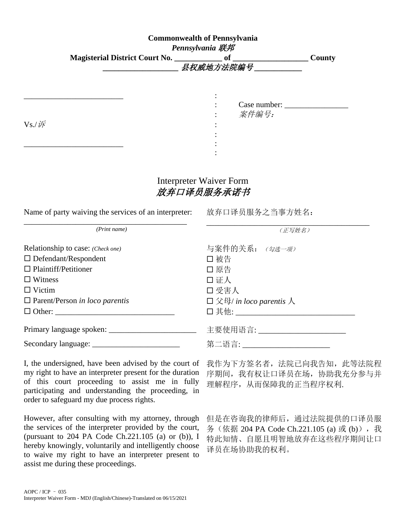|                | <b>Commonwealth of Pennsylvania</b><br>Pennsylvania 联邦 |           |                       |        |
|----------------|--------------------------------------------------------|-----------|-----------------------|--------|
|                | Magisterial District Court No. ________________ of     | 县权威地方法院编号 |                       | County |
| $Vs$ ./ $i\!F$ |                                                        | $\bullet$ | Case number:<br>案件编号: |        |

## Interpreter Waiver Form 放弃口译员服务承诺书

:

| Name of party waiving the services of an interpreter: | 放弃 |
|-------------------------------------------------------|----|
|                                                       |    |

\_\_\_\_\_\_\_\_\_\_\_\_\_\_\_\_\_\_\_\_\_\_\_\_\_ :

| 放弃口译员服务之当事方姓名: |  |
|----------------|--|
|                |  |
|                |  |

| (Print name)                          | (正写姓名)                           |
|---------------------------------------|----------------------------------|
| Relationship to case: (Check one)     | 与案件的关系: (勾选一项)                   |
| $\Box$ Defendant/Respondent           | □ 被告                             |
| $\Box$ Plaintiff/Petitioner           | □ 原告                             |
| $\Box$ Witness                        | 口证人                              |
| $\Box$ Victim                         | □ 受害人                            |
| $\Box$ Parent/Person in loco parentis | $\square$ 父母/ in loco parentis 人 |
|                                       | □ 其他:__________                  |
|                                       | 主要使用语言: _____________________    |
|                                       | 第二语言: ___________________        |

I, the undersigned, have been advised by the court of my right to have an interpreter present for the duration of this court proceeding to assist me in fully participating and understanding the proceeding, in order to safeguard my due process rights.

However, after consulting with my attorney, through the services of the interpreter provided by the court, (pursuant to 204 PA Code Ch.221.105 (a) or (b)), I hereby knowingly, voluntarily and intelligently choose to waive my right to have an interpreter present to assist me during these proceedings.

我作为下方签名者,法院已向我告知,此等法院程 序期间,我有权让口译员在场,协助我充分参与并 理解程序,从而保障我的正当程序权利.

但是在咨询我的律师后,通过法院提供的口译员服 务(依据 204 PA Code Ch.221.105 (a)或 (b)),我 特此知情、自愿且明智地放弃在这些程序期间让口 译员在场协助我的权利。